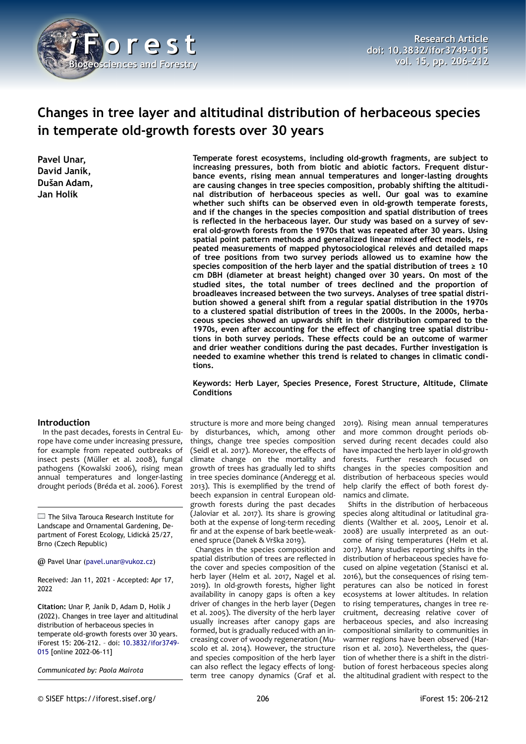

# **Changes in tree layer and altitudinal distribution of herbaceous species in temperate old-growth forests over 30 years**

**Pavel Unar, David Janík, Dušan Adam, Jan Holík**

#### **Introduction**

In the past decades, forests in Central Europe have come under increasing pressure, for example from repeated outbreaks of insect pests (Müller et al. 2008), fungal pathogens (Kowalski 2006), rising mean annual temperatures and longer-lasting drought periods (Bréda et al. 2006). Forest

The Silva Tarouca Research Institute for Landscape and Ornamental Gardening, Department of Forest Ecology, Lidická 25/27, Brno (Czech Republic)

@ Pavel Unar [\(pavel.unar@vukoz.cz](mailto:pavel.unar@vukoz.cz))

Received: Jan 11, 2021 - Accepted: Apr 17, 2022

**Citation:** Unar P, Janík D, Adam D, Holík J (2022). Changes in tree layer and altitudinal distribution of herbaceous species in temperate old-growth forests over 30 years. iForest 15: 206-212. – doi: [10.3832/ifor3749-](http://www.sisef.it/iforest/contents/?id=ifor3749-015) [015](http://www.sisef.it/iforest/contents/?id=ifor3749-015) [online 2022-06-11]

*Communicated by: Paola Mairota*

**Temperate forest ecosystems, including old-growth fragments, are subject to increasing pressures, both from biotic and abiotic factors. Frequent disturbance events, rising mean annual temperatures and longer-lasting droughts are causing changes in tree species composition, probably shifting the altitudinal distribution of herbaceous species as well. Our goal was to examine whether such shifts can be observed even in old-growth temperate forests, and if the changes in the species composition and spatial distribution of trees is reflected in the herbaceous layer. Our study was based on a survey of several old-growth forests from the 1970s that was repeated after 30 years. Using spatial point pattern methods and generalized linear mixed effect models, repeated measurements of mapped phytosociological relevés and detailed maps of tree positions from two survey periods allowed us to examine how the species composition of the herb layer and the spatial distribution of trees ≥ 10 cm DBH (diameter at breast height) changed over 30 years. On most of the studied sites, the total number of trees declined and the proportion of broadleaves increased between the two surveys. Analyses of tree spatial distribution showed a general shift from a regular spatial distribution in the 1970s to a clustered spatial distribution of trees in the 2000s. In the 2000s, herbaceous species showed an upwards shift in their distribution compared to the 1970s, even after accounting for the effect of changing tree spatial distributions in both survey periods. These effects could be an outcome of warmer and drier weather conditions during the past decades. Further investigation is needed to examine whether this trend is related to changes in climatic conditions.**

#### **Keywords: Herb Layer, Species Presence, Forest Structure, Altitude, Climate Conditions**

structure is more and more being changed by disturbances, which, among other things, change tree species composition (Seidl et al. 2017). Moreover, the effects of climate change on the mortality and growth of trees has gradually led to shifts in tree species dominance (Anderegg et al. 2013). This is exemplified by the trend of beech expansion in central European oldgrowth forests during the past decades (Jaloviar et al. 2017). Its share is growing both at the expense of long-term receding fir and at the expense of bark beetle-weakened spruce (Danek & Vrška 2019).

Changes in the species composition and spatial distribution of trees are reflected in the cover and species composition of the herb layer (Helm et al. 2017, Nagel et al. 2019). In old-growth forests, higher light availability in canopy gaps is often a key driver of changes in the herb layer (Degen et al. 2005). The diversity of the herb layer usually increases after canopy gaps are formed, but is gradually reduced with an increasing cover of woody regeneration (Muscolo et al. 2014). However, the structure and species composition of the herb layer can also reflect the legacy effects of longterm tree canopy dynamics (Graf et al.

2019). Rising mean annual temperatures and more common drought periods observed during recent decades could also have impacted the herb layer in old-growth forests. Further research focused on changes in the species composition and distribution of herbaceous species would help clarify the effect of both forest dynamics and climate.

Shifts in the distribution of herbaceous species along altitudinal or latitudinal gradients (Walther et al. 2005, Lenoir et al. 2008) are usually interpreted as an outcome of rising temperatures (Helm et al. 2017). Many studies reporting shifts in the distribution of herbaceous species have focused on alpine vegetation (Stanisci et al. 2016), but the consequences of rising temperatures can also be noticed in forest ecosystems at lower altitudes. In relation to rising temperatures, changes in tree recruitment, decreasing relative cover of herbaceous species, and also increasing compositional similarity to communities in warmer regions have been observed (Harrison et al. 2010). Nevertheless, the question of whether there is a shift in the distribution of forest herbaceous species along the altitudinal gradient with respect to the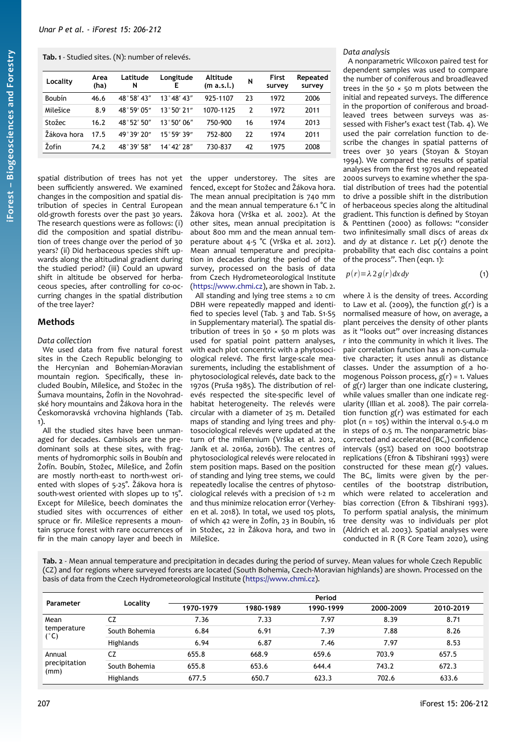<span id="page-1-0"></span>**Tab. 1** - Studied sites. (N): number of relevés.

| Locality    | Area<br>(ha) | Latitude<br>N | Longitude<br>E      | Altitude<br>(m a.s.l.) | N  | First<br>survey | Repeated<br>survey |
|-------------|--------------|---------------|---------------------|------------------------|----|-----------------|--------------------|
| Boubín      | 46.6         | 48°58′43″     | 13°48'43''          | 925-1107               | 23 | 1972            | 2006               |
| Milešice    | 8.9          | 48°59′05″     | $13°50'$ 21"        | 1070-1125              | 2  | 1972            | 2011               |
| Stožec      | 16.2         | 48°52'50"     | 13°50'06''          | 750-900                | 16 | 1974            | 2013               |
| Žákova hora | 17.5         | 49°39'70''    | 15°59'39"           | 752-800                | 22 | 1974            | 2011               |
| Žofín       | 74.2         | 48°39′58″     | $14^{\circ}47'78''$ | 730-837                | 42 | 1975            | 2008               |

spatial distribution of trees has not yet been sufficiently answered. We examined changes in the composition and spatial distribution of species in Central European old-growth forests over the past 30 years. The research questions were as follows: (i) did the composition and spatial distribution of trees change over the period of 30 years? (ii) Did herbaceous species shift upwards along the altitudinal gradient during the studied period? (iii) Could an upward shift in altitude be observed for herbaceous species, after controlling for co-occurring changes in the spatial distribution of the tree layer?

# **Methods**

#### *Data collection*

We used data from five natural forest sites in the Czech Republic belonging to the Hercynian and Bohemian-Moravian mountain region. Specifically, these included Boubín, Milešice, and Stožec in the Šumava mountains, Žofín in the Novohradské hory mountains and Žákova hora in the Českomoravská vrchovina highlands ([Tab.](#page-1-0) [1\)](#page-1-0).

All the studied sites have been unmanaged for decades. Cambisols are the predominant soils at these sites, with fragments of hydromorphic soils in Boubín and Žofín. Boubín, Stožec, Milešice, and Žofín are mostly north-east to north-west oriented with slopes of 5-25°. Žákova hora is south-west oriented with slopes up to 15°. Except for Milešice, beech dominates the studied sites with occurrences of either spruce or fir. Milešice represents a mountain spruce forest with rare occurrences of fir in the main canopy layer and beech in

the upper understorey. The sites are fenced, except for Stožec and Žákova hora. The mean annual precipitation is 740 mm and the mean annual temperature 6.1 °C in Žákova hora (Vrška et al. 2002). At the other sites, mean annual precipitation is about 800 mm and the mean annual temperature about 4-5 °C (Vrška et al. 2012). Mean annual temperature and precipitation in decades during the period of the survey, processed on the basis of data from Czech Hydrometeorological Institute ([https://www.chmi.cz](https://www.chmi.cz/)), are shown in [Tab. 2](#page-1-1).

All standing and lying tree stems ≥ 10 cm DBH were repeatedly mapped and identified to species level ([Tab. 3](#page-2-1) and Tab. S1-S5 in Supplementary material). The spatial distribution of trees in 50  $\times$  50 m plots was used for spatial point pattern analyses, with each plot concentric with a phytosociological relevé. The first large-scale measurements, including the establishment of phytosociological relevés, date back to the 1970s (Pruša 1985). The distribution of relevés respected the site-specific level of habitat heterogeneity. The relevés were circular with a diameter of 25 m. Detailed maps of standing and lying trees and phytosociological relevés were updated at the turn of the millennium (Vrška et al. 2012, Janík et al. 2016a, 2016b). The centres of phytosociological relevés were relocated in stem position maps. Based on the position of standing and lying tree stems, we could repeatedly localise the centres of phytosociological relevés with a precision of 1-2 m and thus minimize relocation error (Verheyen et al. 2018). In total, we used 105 plots, of which 42 were in Žofín, 23 in Boubín, 16 in Stožec, 22 in Žákova hora, and two in Milešice.

## *Data analysis*

A nonparametric Wilcoxon paired test for dependent samples was used to compare the number of coniferous and broadleaved trees in the 50  $\times$  50 m plots between the initial and repeated surveys. The difference in the proportion of coniferous and broadleaved trees between surveys was assessed with Fisher's exact test ([Tab. 4\)](#page-2-0). We used the pair correlation function to describe the changes in spatial patterns of trees over 30 years (Stoyan & Stoyan 1994). We compared the results of spatial analyses from the first 1970s and repeated 2000s surveys to examine whether the spatial distribution of trees had the potential to drive a possible shift in the distribution of herbaceous species along the altitudinal gradient. This function is defined by Stoyan & Penttinen (2000) as follows: "consider two infinitesimally small discs of areas *dx* and *dy* at distance *r*. Let *p*(*r*) denote the probability that each disc contains a point of the process". Then (eqn. 1):

$$
p(r) = \lambda \, 2 \, g(r) \, dx \, dy \tag{1}
$$

where *λ* is the density of trees. According to Law et al. (2009), the function *g*(*r*) is a normalised measure of how, on average, a plant perceives the density of other plants as it "looks out" over increasing distances *r* into the community in which it lives. The pair correlation function has a non-cumulative character; it uses annuli as distance classes. Under the assumption of a homogenous Poisson process, *g*(*r*) = 1. Values of *g*(*r*) larger than one indicate clustering, while values smaller than one indicate regularity (Illian et al. 2008). The pair correlation function *g*(*r*) was estimated for each plot  $(n = 105)$  within the interval 0.5-4.0 m in steps of 0.5 m. The nonparametric biascorrected and accelerated (BCa) confidence intervals (95%) based on 1000 bootstrap replications (Efron & Tibshirani 1993) were constructed for these mean *g*(*r*) values. The  $BC_a$  limits were given by the percentiles of the bootstrap distribution, which were related to acceleration and bias correction (Efron & Tibshirani 1993). To perform spatial analysis, the minimum tree density was 10 individuals per plot (Aldrich et al. 2003). Spatial analyses were conducted in R (R Core Team 2020), using

<span id="page-1-1"></span>**Tab. 2** - Mean annual temperature and precipitation in decades during the period of survey. Mean values for whole Czech Republic (CZ) and for regions where surveyed forests are located (South Bohemia, Czech-Moravian highlands) are shown. Processed on the basis of data from the Czech Hydrometeorological Institute ([https://www.chmi.cz\)](https://www.chmi.cz/).

| Parameter                       | Locality      | Period    |           |           |           |           |  |  |  |  |
|---------------------------------|---------------|-----------|-----------|-----------|-----------|-----------|--|--|--|--|
|                                 |               | 1970-1979 | 1980-1989 | 1990-1999 | 2000-2009 | 2010-2019 |  |  |  |  |
| Mean<br>temperature<br>(°C)     | CZ            | 7.36      | 7.33      | 7.97      | 8.39      | 8.71      |  |  |  |  |
|                                 | South Bohemia | 6.84      | 6.91      | 7.39      | 7.88      | 8.26      |  |  |  |  |
|                                 | Highlands     | 6.94      | 6.87      | 7.46      | 7.97      | 8.53      |  |  |  |  |
| Annual<br>precipitation<br>(mm) | CZ            | 655.8     | 668.9     | 659.6     | 703.9     | 657.5     |  |  |  |  |
|                                 | South Bohemia | 655.8     | 653.6     | 644.4     | 743.2     | 672.3     |  |  |  |  |
|                                 | Highlands     | 677.5     | 650.7     | 623.3     | 702.6     | 633.6     |  |  |  |  |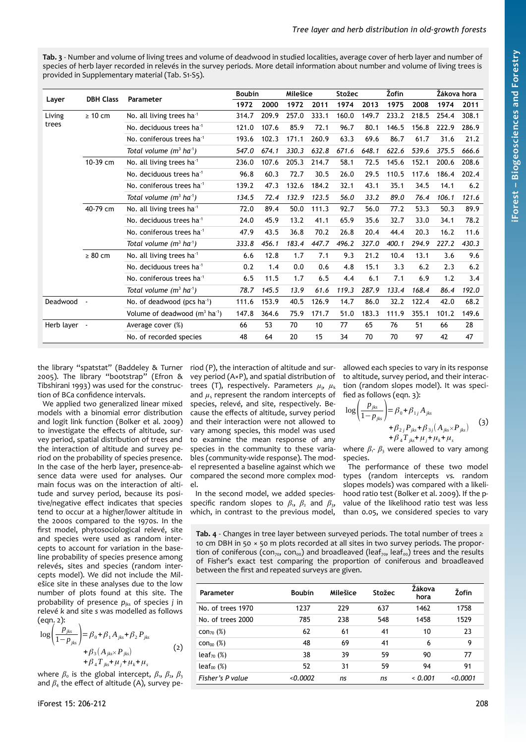<span id="page-2-1"></span>**Tab. 3** - Number and volume of living trees and volume of deadwood in studied localities, average cover of herb layer and number of species of herb layer recorded in relevés in the survey periods. More detail information about number and volume of living trees is provided in Supplementary material (Tab. S1-S5).

| Layer        | <b>DBH Class</b>                      | Parameter                               | <b>Boubin</b> |       | Milešice |       | Stožec |       | Žofín |       | Žákova hora |       |
|--------------|---------------------------------------|-----------------------------------------|---------------|-------|----------|-------|--------|-------|-------|-------|-------------|-------|
|              |                                       |                                         | 1972          | 2000  | 1972     | 2011  | 1974   | 2013  | 1975  | 2008  | 1974        | 2011  |
| Living       | $\geq 10$ cm                          | No. all living trees ha <sup>1</sup>    | 314.7         | 209.9 | 257.0    | 333.1 | 160.0  | 149.7 | 233.2 | 218.5 | 254.4       | 308.1 |
| trees        |                                       | No. deciduous trees ha <sup>-1</sup>    | 121.0         | 107.6 | 85.9     | 72.1  | 96.7   | 80.1  | 146.5 | 156.8 | 222.9       | 286.9 |
|              |                                       | No. coniferous trees ha <sup>-1</sup>   | 193.6         | 102.3 | 171.1    | 260.9 | 63.3   | 69.6  | 86.7  | 61.7  | 31.6        | 21.2  |
|              |                                       | Total volume $(m^3 \text{ ha}^1)$       | 547.0         | 674.1 | 330.3    | 632.8 | 671.6  | 648.1 | 622.6 | 539.6 | 375.5       | 666.6 |
| 10-39 cm     |                                       | No. all living trees ha <sup>1</sup>    | 236.0         | 107.6 | 205.3    | 214.7 | 58.1   | 72.5  | 145.6 | 152.1 | 200.6       | 208.6 |
|              |                                       | No. deciduous trees ha <sup>-1</sup>    | 96.8          | 60.3  | 72.7     | 30.5  | 26.0   | 29.5  | 110.5 | 117.6 | 186.4       | 202.4 |
|              |                                       | No. coniferous trees ha <sup>-1</sup>   | 139.2         | 47.3  | 132.6    | 184.2 | 32.1   | 43.1  | 35.1  | 34.5  | 14.1        | 6.2   |
|              |                                       | Total volume $(m^3 \text{ ha}^1)$       | 134.5         | 72.4  | 132.9    | 123.5 | 56.0   | 33.2  | 89.0  | 76.4  | 106.1       | 121.6 |
|              | 40-79 cm                              | No. all living trees ha <sup>1</sup>    | 72.0          | 89.4  | 50.0     | 111.3 | 92.7   | 56.0  | 77.2  | 53.3  | 50.3        | 89.9  |
|              |                                       | No. deciduous trees ha <sup>-1</sup>    | 24.0          | 45.9  | 13.2     | 41.1  | 65.9   | 35.6  | 32.7  | 33.0  | 34.1        | 78.2  |
| $\geq 80$ cm | No. coniferous trees ha <sup>-1</sup> | 47.9                                    | 43.5          | 36.8  | 70.2     | 26.8  | 20.4   | 44.4  | 20.3  | 16.2  | 11.6        |       |
|              | Total volume $(m^3 \text{ ha}^1)$     | 333.8                                   | 456.1         | 183.4 | 447.7    | 496.2 | 327.0  | 400.1 | 294.9 | 227.2 | 430.3       |       |
|              | No. all living trees ha <sup>1</sup>  | 6.6                                     | 12.8          | 1.7   | 7.1      | 9.3   | 21.2   | 10.4  | 13.1  | 3.6   | 9.6         |       |
|              |                                       | No. deciduous trees ha <sup>-1</sup>    | 0.2           | 1.4   | 0.0      | 0.6   | 4.8    | 15.1  | 3.3   | 6.2   | 2.3         | 6.2   |
|              |                                       | No. coniferous trees ha <sup>-1</sup>   | 6.5           | 11.5  | 1.7      | 6.5   | 4.4    | 6.1   | 7.1   | 6.9   | 1.2         | 3.4   |
|              |                                       | Total volume $(m^3 \text{ ha}^1)$       | 78.7          | 145.5 | 13.9     | 61.6  | 119.3  | 287.9 | 133.4 | 168.4 | 86.4        | 192.0 |
| Deadwood     |                                       | No. of deadwood (pcs ha <sup>-1</sup> ) | 111.6         | 153.9 | 40.5     | 126.9 | 14.7   | 86.0  | 32.2  | 122.4 | 42.0        | 68.2  |
|              |                                       | Volume of deadwood $(m^3 \text{ ha}^1)$ | 147.8         | 364.6 | 75.9     | 171.7 | 51.0   | 183.3 | 111.9 | 355.1 | 101.2       | 149.6 |
| Herb layer - |                                       | Average cover (%)                       | 66            | 53    | 70       | 10    | 77     | 65    | 76    | 51    | 66          | 28    |
|              |                                       | No. of recorded species                 | 48            | 64    | 20       | 15    | 34     | 70    | 70    | 97    | 42          | 47    |

the library "spatstat" (Baddeley & Turner 2005). The library "bootstrap" (Efron & Tibshirani 1993) was used for the construction of BCa confidence intervals.

We applied two generalized linear mixed models with a binomial error distribution and logit link function (Bolker et al. 2009) to investigate the effects of altitude, survey period, spatial distribution of trees and the interaction of altitude and survey period on the probability of species presence. In the case of the herb layer, presence-absence data were used for analyses. Our main focus was on the interaction of altitude and survey period, because its positive/negative effect indicates that species tend to occur at a higher/lower altitude in the 2000s compared to the 1970s. In the first model, phytosociological relevé, site and species were used as random intercepts to account for variation in the baseline probability of species presence among relevés, sites and species (random intercepts model). We did not include the Milešice site in these analyses due to the low number of plots found at this site. The probability of presence  $p_{iks}$  of species *j* in relevé *k* and site *s* was modelled as follows  $(\rho$ qn.  $\rho)$ :

$$
\log\left(\frac{p_{jks}}{1-p_{jks}}\right) = \beta_0 + \beta_1 A_{jks} + \beta_2 P_{jks} + \beta_3 (A_{jks} \times P_{jks}) + \beta_4 T_{jks} + \mu_k + \mu_s
$$
 (2)

where  $\beta_0$  is the global intercept,  $\beta_1$ ,  $\beta_2$ ,  $\beta_3$ and  $\beta_4$  the effect of altitude (A), survey period (P), the interaction of altitude and survey period (A×P), and spatial distribution of trees (T), respectively. Parameters  $\mu_i$ ,  $\mu_k$ and  $\mu$ <sub>s</sub> represent the random intercepts of species, relevé, and site, respectively. Because the effects of altitude, survey period and their interaction were not allowed to vary among species, this model was used to examine the mean response of any species in the community to these variables (community-wide response). The model represented a baseline against which we compared the second more complex model.

In the second model, we added speciesspecific random slopes to  $\beta_1$ ,  $\beta_2$  and  $\beta_3$ , which, in contrast to the previous model, allowed each species to vary in its response to altitude, survey period, and their interaction (random slopes model). It was specified as follows (eqn. 3):

$$
\log \left( \frac{p_{jks}}{1 - p_{jks}} \right) = \beta_0 + \beta_{1j} A_{jks} + \beta_{2j} P_{jks} + \beta_{3j} (A_{jks} \times P_{jks})
$$
 (3)  
+  $\beta_4 T_{jks} + \mu_j + \mu_k + \mu_s$ 

where  $\beta_1$ -  $\beta_3$  were allowed to vary among species.

The performance of these two model types (random intercepts *vs.* random slopes models) was compared with a likelihood ratio test (Bolker et al. 2009). If the pvalue of the likelihood ratio test was less than 0.05, we considered species to vary

<span id="page-2-0"></span>**Tab. 4** - Changes in tree layer between surveyed periods. The total number of trees ≥ 10 cm DBH in 50  $\times$  50 m plots recorded at all sites in two survey periods. The proportion of coniferous (con<sub>70</sub>, con<sub>00</sub>) and broadleaved (leaf<sub>70</sub>, leaf<sub>00</sub>) trees and the results of Fisher's exact test comparing the proportion of coniferous and broadleaved between the first and repeated surveys are given.

| Parameter                 | <b>Boubin</b> | Milešice | <b>Stožec</b> | Žákova<br>hora | Žofín    |
|---------------------------|---------------|----------|---------------|----------------|----------|
| No. of trees 1970         | 1237          | 229      | 637           | 1462           | 1758     |
| No. of trees 2000         | 785           | 238      | 548           | 1458           | 1529     |
| $con_{70}(%)$             | 62            | 61       | 41            | 10             | 23       |
| $con_{00}$ $(\%)$         | 48            | 69       | 41            | 6              | 9        |
| leaf <sub>70</sub> $(\%)$ | 38            | 39       | 59            | 90             | 77       |
| $leaf_{00}$ (%)           | 52            | 31       | 59            | 94             | 91       |
| Fisher's P value          | 0.0002        | ns       | ns            | 0.001          | < 0.0001 |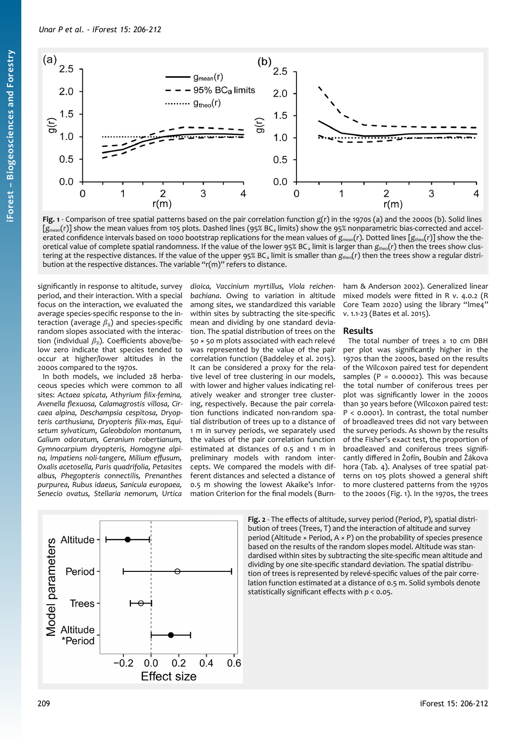

<span id="page-3-0"></span>**Fig. 1** - Comparison of tree spatial patterns based on the pair correlation function g(r) in the 1970s (a) and the 2000s (b). Solid lines [ $g_{\text{mean}}(r)$ ] show the mean values from 105 plots. Dashed lines (95% BC<sub>a</sub> limits) show the 95% nonparametric bias-corrected and accelerated confidence intervals based on 1000 bootstrap replications for the mean values of  $g_{\text{mean}}(r)$ . Dotted lines  $[g_{\text{theo}}(r)]$  show the theoretical value of complete spatial randomness. If the value of the lower 95% BC<sub>a</sub> limit is larger than  $g_{\text{theo}}(r)$  then the trees show clustering at the respective distances. If the value of the upper 95% BC<sub>a</sub> limit is smaller than  $g_{\text{theo}}(r)$  then the trees show a regular distribution at the respective distances. The variable "r(m)" refers to distance.

significantly in response to altitude, survey period, and their interaction. With a special focus on the interaction, we evaluated the average species-specific response to the interaction (average  $β_{3j}$ ) and species-specific random slopes associated with the interaction (individual  $β_{3j}$ ). Coefficients above/below zero indicate that species tended to occur at higher/lower altitudes in the 2000s compared to the 1970s.

In both models, we included 28 herbaceous species which were common to all sites: *Actaea spicata, Athyrium filix-femina, Avenella flexuosa, Calamagrostis villosa, Circaea alpina, Deschampsia cespitosa, Dryopteris carthusiana, Dryopteris filix-mas, Equisetum sylvaticum, Galeobdolon montanum, Galium odoratum, Geranium robertianum, Gymnocarpium dryopteris, Homogyne alpina, Impatiens noli-tangere, Milium effusum, Oxalis acetosella, Paris quadrifolia, Petasites albus, Phegopteris connectilis, Prenanthes purpurea, Rubus idaeus, Sanicula europaea, Senecio ovatus, Stellaria nemorum, Urtica*

*dioica, Vaccinium myrtillus, Viola reichenbachiana*. Owing to variation in altitude among sites, we standardized this variable within sites by subtracting the site-specific mean and dividing by one standard deviation. The spatial distribution of trees on the 50 × 50 m plots associated with each relevé was represented by the value of the pair correlation function (Baddeley et al. 2015). It can be considered a proxy for the relative level of tree clustering in our models, with lower and higher values indicating relatively weaker and stronger tree clustering, respectively. Because the pair correlation functions indicated non-random spatial distribution of trees up to a distance of 1 m in survey periods, we separately used the values of the pair correlation function estimated at distances of 0.5 and 1 m in preliminary models with random intercepts. We compared the models with different distances and selected a distance of 0.5 m showing the lowest Akaike's Information Criterion for the final models (Burnham & Anderson 2002). Generalized linear mixed models were fitted in R v. 4.0.2 (R Core Team 2020) using the library "lme4" v. 1.1-23 (Bates et al. 2015).

## **Results**

The total number of trees  $\geq$  10 cm DBH per plot was significantly higher in the 1970s than the 2000s, based on the results of the Wilcoxon paired test for dependent samples ( $P = 0.00002$ ). This was because the total number of coniferous trees per plot was significantly lower in the 2000s than 30 years before (Wilcoxon paired test: P < 0.0001). In contrast, the total number of broadleaved trees did not vary between the survey periods. As shown by the results of the Fisher's exact test, the proportion of broadleaved and coniferous trees significantly differed in Žofín, Boubín and Žákova hora [\(Tab. 4\)](#page-2-0). Analyses of tree spatial patterns on 105 plots showed a general shift to more clustered patterns from the 1970s to the 2000s ([Fig. 1\)](#page-3-0). In the 1970s, the trees



<span id="page-3-1"></span>**Fig. 2** - The effects of altitude, survey period (Period, P), spatial distribution of trees (Trees, T) and the interaction of altitude and survey period (Altitude  $\times$  Period, A  $\times$  P) on the probability of species presence based on the results of the random slopes model. Altitude was standardised within sites by subtracting the site-specific mean altitude and dividing by one site-specific standard deviation. The spatial distribution of trees is represented by relevé-specific values of the pair correlation function estimated at a distance of 0.5 m. Solid symbols denote statistically significant effects with *p* < 0.05.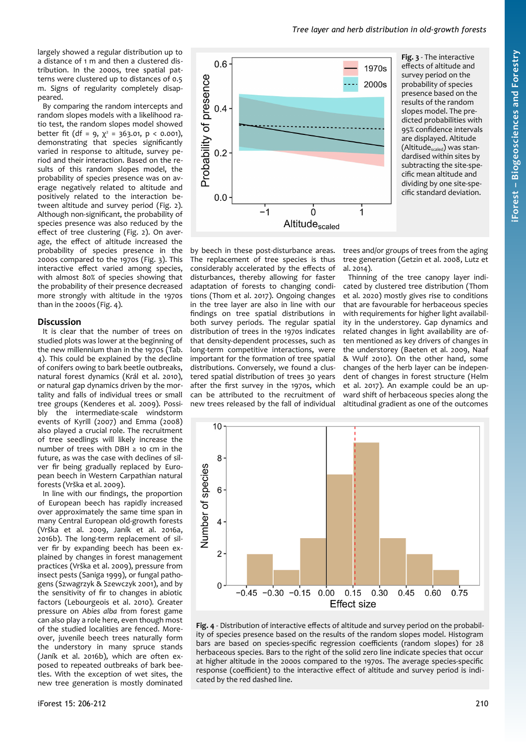largely showed a regular distribution up to a distance of 1 m and then a clustered distribution. In the 2000s, tree spatial patterns were clustered up to distances of 0.5 m. Signs of regularity completely disappeared.

By comparing the random intercepts and random slopes models with a likelihood ratio test, the random slopes model showed better fit (df = 9,  $\chi^2$  = 363.01, p < 0.001), demonstrating that species significantly varied in response to altitude, survey period and their interaction. Based on the results of this random slopes model, the probability of species presence was on average negatively related to altitude and positively related to the interaction between altitude and survey period [\(Fig. 2\)](#page-3-1). Although non-significant, the probability of species presence was also reduced by the effect of tree clustering [\(Fig. 2](#page-3-1)). On average, the effect of altitude increased the probability of species presence in the 2000s compared to the 1970s ([Fig. 3\)](#page-4-1). This interactive effect varied among species, with almost 80% of species showing that the probability of their presence decreased more strongly with altitude in the 1970s than in the 2000s [\(Fig. 4\)](#page-4-0).

## **Discussion**

It is clear that the number of trees on studied plots was lower at the beginning of the new millennium than in the 1970s ([Tab.](#page-2-0) [4](#page-2-0)). This could be explained by the decline of conifers owing to bark beetle outbreaks, natural forest dynamics (Král et al. 2010), or natural gap dynamics driven by the mortality and falls of individual trees or small tree groups (Kenderes et al. 2009). Possibly the intermediate-scale windstorm events of Kyrill (2007) and Emma (2008) also played a crucial role. The recruitment of tree seedlings will likely increase the number of trees with DBH  $\geq$  10 cm in the future, as was the case with declines of silver fir being gradually replaced by European beech in Western Carpathian natural forests (Vrška et al. 2009).

In line with our findings, the proportion of European beech has rapidly increased over approximately the same time span in many Central European old-growth forests (Vrška et al. 2009, Janík et al. 2016a, 2016b). The long-term replacement of silver fir by expanding beech has been explained by changes in forest management practices (Vrška et al. 2009), pressure from insect pests (Saniga 1999), or fungal pathogens (Szwagrzyk & Szewczyk 2001), and by the sensitivity of fir to changes in abiotic factors (Lebourgeois et al. 2010). Greater pressure on *Abies alba* from forest game can also play a role here, even though most of the studied localities are fenced. Moreover, juvenile beech trees naturally form the understory in many spruce stands (Janík et al. 2016b), which are often exposed to repeated outbreaks of bark beetles. With the exception of wet sites, the new tree generation is mostly dominated



<span id="page-4-1"></span>**Fig. 3** - The interactive effects of altitude and survey period on the probability of species presence based on the results of the random slopes model. The predicted probabilities with 95% confidence intervals are displayed. Altitude (Altitude<sub>scaled</sub>) was standardised within sites by subtracting the site-specific mean altitude and dividing by one site-specific standard deviation.

by beech in these post-disturbance areas. The replacement of tree species is thus considerably accelerated by the effects of disturbances, thereby allowing for faster adaptation of forests to changing conditions (Thom et al. 2017). Ongoing changes in the tree layer are also in line with our findings on tree spatial distributions in both survey periods. The regular spatial distribution of trees in the 1970s indicates that density-dependent processes, such as long-term competitive interactions, were important for the formation of tree spatial distributions. Conversely, we found a clustered spatial distribution of trees 30 years after the first survey in the 1970s, which can be attributed to the recruitment of new trees released by the fall of individual

trees and/or groups of trees from the aging tree generation (Getzin et al. 2008, Lutz et al. 2014).

Thinning of the tree canopy layer indicated by clustered tree distribution (Thom et al. 2020) mostly gives rise to conditions that are favourable for herbaceous species with requirements for higher light availability in the understorey. Gap dynamics and related changes in light availability are often mentioned as key drivers of changes in the understorey (Baeten et al. 2009, Naaf & Wulf 2010). On the other hand, some changes of the herb layer can be independent of changes in forest structure (Helm et al. 2017). An example could be an upward shift of herbaceous species along the altitudinal gradient as one of the outcomes



<span id="page-4-0"></span>**Fig. 4** - Distribution of interactive effects of altitude and survey period on the probability of species presence based on the results of the random slopes model. Histogram bars are based on species-specific regression coefficients (random slopes) for 28 herbaceous species. Bars to the right of the solid zero line indicate species that occur at higher altitude in the 2000s compared to the 1970s. The average species-specific response (coefficient) to the interactive effect of altitude and survey period is indicated by the red dashed line.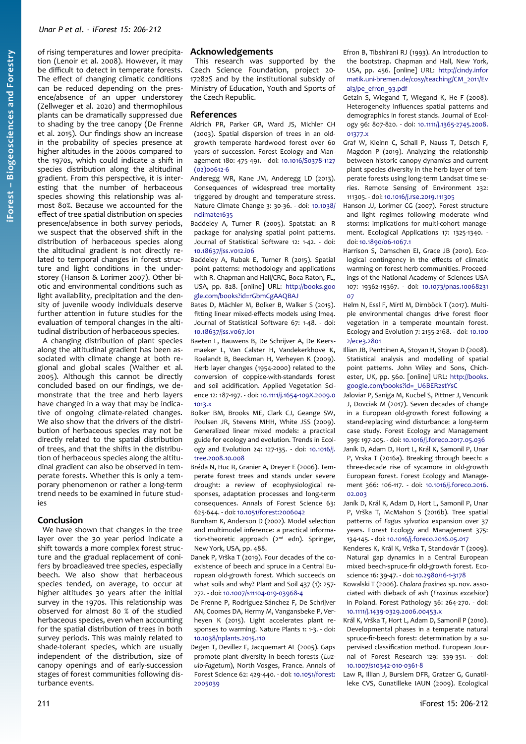of rising temperatures and lower precipitation (Lenoir et al. 2008). However, it may be difficult to detect in temperate forests. The effect of changing climatic conditions can be reduced depending on the presence/absence of an upper understorey (Zellweger et al. 2020) and thermophilous plants can be dramatically suppressed due to shading by the tree canopy (De Frenne et al. 2015). Our findings show an increase in the probability of species presence at higher altitudes in the 2000s compared to the 1970s, which could indicate a shift in species distribution along the altitudinal gradient. From this perspective, it is interesting that the number of herbaceous species showing this relationship was almost 80%. Because we accounted for the effect of tree spatial distribution on species presence/absence in both survey periods, we suspect that the observed shift in the distribution of herbaceous species along the altitudinal gradient is not directly related to temporal changes in forest structure and light conditions in the understorey (Hanson & Lorimer 2007). Other biotic and environmental conditions such as light availability, precipitation and the density of juvenile woody individuals deserve further attention in future studies for the evaluation of temporal changes in the altitudinal distribution of herbaceous species.

A changing distribution of plant species along the altitudinal gradient has been associated with climate change at both regional and global scales (Walther et al. 2005). Although this cannot be directly concluded based on our findings, we demonstrate that the tree and herb layers have changed in a way that may be indicative of ongoing climate-related changes. We also show that the drivers of the distribution of herbaceous species may not be directly related to the spatial distribution of trees, and that the shifts in the distribution of herbaceous species along the altitudinal gradient can also be observed in temperate forests. Whether this is only a temporary phenomenon or rather a long-term trend needs to be examined in future studies

# **Conclusion**

We have shown that changes in the tree layer over the 30 year period indicate a shift towards a more complex forest structure and the gradual replacement of conifers by broadleaved tree species, especially beech. We also show that herbaceous species tended, on average, to occur at higher altitudes 30 years after the initial survey in the 1970s. This relationship was observed for almost 80 % of the studied herbaceous species, even when accounting for the spatial distribution of trees in both survey periods. This was mainly related to shade-tolerant species, which are usually independent of the distribution, size of canopy openings and of early-succession stages of forest communities following disturbance events.

# **Acknowledgements**

This research was supported by the Czech Science Foundation, project 20- 17282S and by the institutional subsidy of Ministry of Education, Youth and Sports of the Czech Republic.

## **References**

- Aldrich PR, Parker GR, Ward JS, Michler CH (2003). Spatial dispersion of trees in an oldgrowth temperate hardwood forest over 60 years of succession. Forest Ecology and Management 180: 475-491. - doi: [10.1016/S0378-1127](https://doi.org/10.1016/S0378-1127(02)00612-6) [\(02\)00612-6](https://doi.org/10.1016/S0378-1127(02)00612-6)
- Anderegg WR, Kane JM, Anderegg LD (2013). Consequences of widespread tree mortality triggered by drought and temperature stress. Nature Climate Change 3: 30-36. - doi: [10.1038/](https://doi.org/10.1038/nclimate1635) [nclimate1635](https://doi.org/10.1038/nclimate1635)
- Baddeley A, Turner R (2005). Spatstat: an R package for analysing spatial point patterns. Journal of Statistical Software 12: 1-42. - doi: [10.18637/jss.v012.i06](https://doi.org/10.18637/jss.v012.i06)
- Baddeley A, Rubak E, Turner R (2015). Spatial point patterns: methodology and applications with R. Chapman and Hall/CRC, Boca Raton, FL, USA, pp. 828. [online] URL: [http://books.goo](http://books.google.com/books?id=rGbmCgAAQBAJ) [gle.com/books?id=rGbmCgAAQBAJ](http://books.google.com/books?id=rGbmCgAAQBAJ)
- Bates D, Mächler M, Bolker B, Walker S (2015). fitting linear mixed-effects models using lme4. Journal of Statistical Software 67: 1-48. - doi: [10.18637/jss.v067.i01](https://doi.org/10.18637/jss.v067.i01)
- Baeten L, Bauwens B, De Schrijver A, De Keersmaeker L, Van Calster H, Vandekerkhove K, Roelandt B, Beeckman H, Verheyen K (2009). Herb layer changes (1954-2000) related to the conversion of coppice-with-standards forest and soil acidification. Applied Vegetation Science 12: 187-197. - doi: [10.1111/j.1654-109X.2009.0](https://doi.org/10.1111/j.1654-109X.2009.01013.x) [1013.x](https://doi.org/10.1111/j.1654-109X.2009.01013.x)
- Bolker BM, Brooks ME, Clark CJ, Geange SW, Poulsen JR, Stevens MHH, White JSS (2009). Generalized linear mixed models: a practical guide for ecology and evolution. Trends in Ecology and Evolution 24: 127-135. - doi: [10.1016/j.](https://doi.org/10.1016/j.tree.2008.10.008) [tree.2008.10.008](https://doi.org/10.1016/j.tree.2008.10.008)
- Bréda N, Huc R, Granier A, Dreyer E (2006). Temperate forest trees and stands under severe drought: a review of ecophysiological responses, adaptation processes and long-term consequences. Annals of Forest Science 63: 625-644. - doi: [10.1051/forest:2006042](https://doi.org/10.1051/forest:2006042)
- Burnham K, Anderson D (2002). Model selection and multimodel inference: a practical information-theoretic approach  $(z<sup>nd</sup>$  edn). Springer, New York, USA, pp. 488.
- Danek P, Vrška T (2019). Four decades of the coexistence of beech and spruce in a Central European old-growth forest. Which succeeds on what soils and why? Plant and Soil 437 (1): 257- 272. - doi: [10.1007/s11104-019-03968-4](https://doi.org/10.1007/s11104-019-03968-4)
- De Frenne P, Rodríguez-Sánchez F, De Schrijver AN, Coomes DA, Hermy M, Vangansbeke P, Verheyen K (2015). Light accelerates plant responses to warming. Nature Plants 1: 1-3. - doi: [10.1038/nplants.2015.110](https://doi.org/10.1038/nplants.2015.110)
- Degen T, Devillez F, Jacquemart AL (2005). Gaps promote plant diversity in beech forests (*Luzulo-Fagetum*), North Vosges, France. Annals of Forest Science 62: 429-440. - doi: [10.1051/forest:](https://doi.org/10.1051/forest:2005039) [2005039](https://doi.org/10.1051/forest:2005039)

Efron B, Tibshirani RJ (1993). An introduction to the bootstrap. Chapman and Hall, New York, USA, pp. 456. [online] URL: [http://cindy.infor](http://cindy.informatik.uni-bremen.de/cosy/teaching/CM_2011/Eval3/pe_efron_93.pdf) [matik.uni-bremen.de/cosy/teaching/CM\\_2011/Ev](http://cindy.informatik.uni-bremen.de/cosy/teaching/CM_2011/Eval3/pe_efron_93.pdf) [al3/pe\\_efron\\_93.pdf](http://cindy.informatik.uni-bremen.de/cosy/teaching/CM_2011/Eval3/pe_efron_93.pdf)

- Getzin S, Wiegand T, Wiegand K, He F (2008). Heterogeneity influences spatial patterns and demographics in forest stands. Journal of Ecology 96: 807-820. - doi: [10.1111/j.1365-2745.2008.](https://doi.org/10.1111/j.1365-2745.2008.01377.x) [01377.x](https://doi.org/10.1111/j.1365-2745.2008.01377.x)
- Graf W, Kleinn C, Schall P, Nauss T, Detsch F, Magdon P (2019). Analyzing the relationship between historic canopy dynamics and current plant species diversity in the herb layer of temperate forests using long-term Landsat time series. Remote Sensing of Environment 232: 111305. - doi: [10.1016/j.rse.2019.111305](https://doi.org/10.1016/j.rse.2019.111305)
- Hanson JJ, Lorimer CG (2007). Forest structure and light regimes following moderate wind storms: Implications for multi-cohort management. Ecological Applications 17: 1325-1340. doi: [10.1890/06-1067.1](https://doi.org/10.1890/06-1067.1)
- Harrison S, Damschen EI, Grace JB (2010). Ecological contingency in the effects of climatic warming on forest herb communities. Proceedings of the National Academy of Sciences USA 107: 19362-19367. - doi: [10.1073/pnas.10068231](https://doi.org/10.1073/pnas.1006823107) [07](https://doi.org/10.1073/pnas.1006823107)
- Helm N, Essl F, Mirtl M, Dirnböck T (2017). Multiple environmental changes drive forest floor vegetation in a temperate mountain forest. Ecology and Evolution 7: 2155-2168. - doi: [10.100](https://doi.org/10.1002/ece3.2801) [2/ece3.2801](https://doi.org/10.1002/ece3.2801)
- Illian JB, Penttinen A, Stoyan H, Stoyan D (2008). Statistical analysis and modelling of spatial point patterns. John Wiley and Sons, Chichester, UK, pp. 560. [online] URL: [http://books.](http://books.google.com/books?id=_U6BER2stYsC) [google.com/books?id=\\_U6BER2stYsC](http://books.google.com/books?id=_U6BER2stYsC)
- Jaloviar P, Saniga M, Kucbel S, Pittner J, Vencurik J, Dovciak M (2017). Seven decades of change in a European old-growth forest following a stand-replacing wind disturbance: a long-term case study. Forest Ecology and Management 399: 197-205. - doi: [10.1016/j.foreco.2017.05.036](https://doi.org/10.1016/j.foreco.2017.05.036)
- Janík D, Adam D, Hort L, Král K, Samonil P, Unar P, Vrska T (2016a). Breaking through beech: a three-decade rise of sycamore in old-growth European forest. Forest Ecology and Management 366: 106-117. - doi: [10.1016/j.foreco.2016.](https://doi.org/10.1016/j.foreco.2016.02.003) [02.003](https://doi.org/10.1016/j.foreco.2016.02.003)
- Janík D, Král K, Adam D, Hort L, Samonil P, Unar P, Vrška T, McMahon S (2016b). Tree spatial patterns of *Fagus sylvatica* expansion over 37 years. Forest Ecology and Management 375: 134-145. - doi: [10.1016/j.foreco.2016.05.017](https://doi.org/10.1016/j.foreco.2016.05.017)
- Kenderes K, Král K, Vrška T, Standovár T (2009). Natural gap dynamics in a Central European mixed beech-spruce-fir old-growth forest. Ecoscience 16: 39-47. - doi: [10.2980/16-1-3178](https://doi.org/10.2980/16-1-3178)
- Kowalski T (2006). *Chalara fraxinea* sp. nov. associated with dieback of ash (*Fraxinus excelsior*) in Poland. Forest Pathology 36: 264-270. - doi: [10.1111/j.1439-0329.2006.00453.x](https://doi.org/10.1111/j.1439-0329.2006.00453.x)
- Král K, Vrška T, Hort L, Adam D, Samonil P (2010). Developmental phases in a temperate natural spruce-fir-beech forest: determination by a supervised classification method. European Journal of Forest Research 129: 339-351. - doi: [10.1007/s10342-010-0361-8](https://doi.org/10.1007/s10342-010-0361-8)
- Law R, Illian J, Burslem DFR, Gratzer G, Gunatilleke CVS, Gunatilleke IAUN (2009). Ecological